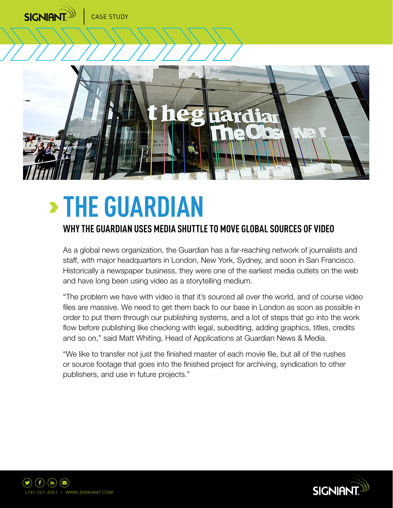

# **THE GUARDIAN**

# **WHY THE GUARDIAN USES MEDIA SHUTTLE TO MOVE GLOBAL SOURCES OF VIDEO**

As a global news organization, the Guardian has a far-reaching network of journalists and staff, with major headquarters in London, New York, Sydney, and soon in San Francisco. Historically a newspaper business, they were one of the earliest media outlets on the web and have long been using video as a storytelling medium.

"The problem we have with video is that it's sourced all over the world, and of course video files are massive. We need to get them back to our base in London as soon as possible in order to put them through our publishing systems, and a lot of steps that go into the work flow before publishing like checking with legal, subediting, adding graphics, titles, credits and so on," said Matt Whiting, Head of Applications at Guardian News & Media.

"We like to transfer not just the finished master of each movie file, but all of the rushes or source footage that goes into the finished project for archiving, syndication to other publishers, and use in future projects."



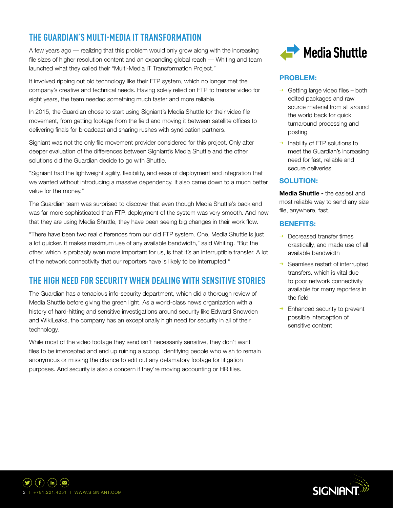# **THE GUARDIAN'S MULTI-MEDIA IT TRANSFORMATION**

A few years ago — realizing that this problem would only grow along with the increasing file sizes of higher resolution content and an expanding global reach - Whiting and team launched what they called their "Multi-Media IT Transformation Project."

It involved ripping out old technology like their FTP system, which no longer met the company's creative and technical needs. Having solely relied on FTP to transfer video for eight years, the team needed something much faster and more reliable.

In 2015, the Guardian chose to start using Signiant's Media Shuttle for their video file movement, from getting footage from the field and moving it between satellite offices to delivering finals for broadcast and sharing rushes with syndication partners.

Signiant was not the only file movement provider considered for this project. Only after deeper evaluation of the differences between Signiant's Media Shuttle and the other solutions did the Guardian decide to go with Shuttle.

"Signiant had the lightweight agility, flexibility, and ease of deployment and integration that we wanted without introducing a massive dependency. It also came down to a much better value for the money."

The Guardian team was surprised to discover that even though Media Shuttle's back end was far more sophisticated than FTP, deployment of the system was very smooth. And now that they are using Media Shuttle, they have been seeing big changes in their work flow.

"There have been two real differences from our old FTP system. One, Media Shuttle is just a lot quicker. It makes maximum use of any available bandwidth," said Whiting. "But the other, which is probably even more important for us, is that it's an interruptible transfer. A lot of the network connectivity that our reporters have is likely to be interrupted."

## **THE HIGH NEED FOR SECURITY WHEN DEALING WITH SENSITIVE STORIES**

The Guardian has a tenacious info-security department, which did a thorough review of Media Shuttle before giving the green light. As a world-class news organization with a history of hard-hitting and sensitive investigations around security like Edward Snowden and WikiLeaks, the company has an exceptionally high need for security in all of their technology.

While most of the video footage they send isn't necessarily sensitive, they don't want files to be intercepted and end up ruining a scoop, identifying people who wish to remain anonymous or missing the chance to edit out any defamatory footage for litigation purposes. And security is also a concern if they're moving accounting or HR files.



#### **PROBLEM:**

- $\rightarrow$  Getting large video files both edited packages and raw source material from all around the world back for quick turnaround processing and posting
- ➜ Inability of FTP solutions to meet the Guardian's increasing need for fast, reliable and secure deliveries

#### **SOLUTION:**

**Media Shuttle -** the easiest and most reliable way to send any size file, anywhere, fast.

#### **BENEFITS:**

- $\rightarrow$  Decreased transfer times drastically, and made use of all available bandwidth
- → Seamless restart of interrupted transfers, which is vital due to poor network connectivity available for many reporters in the field
- Enhanced security to prevent possible interception of sensitive content